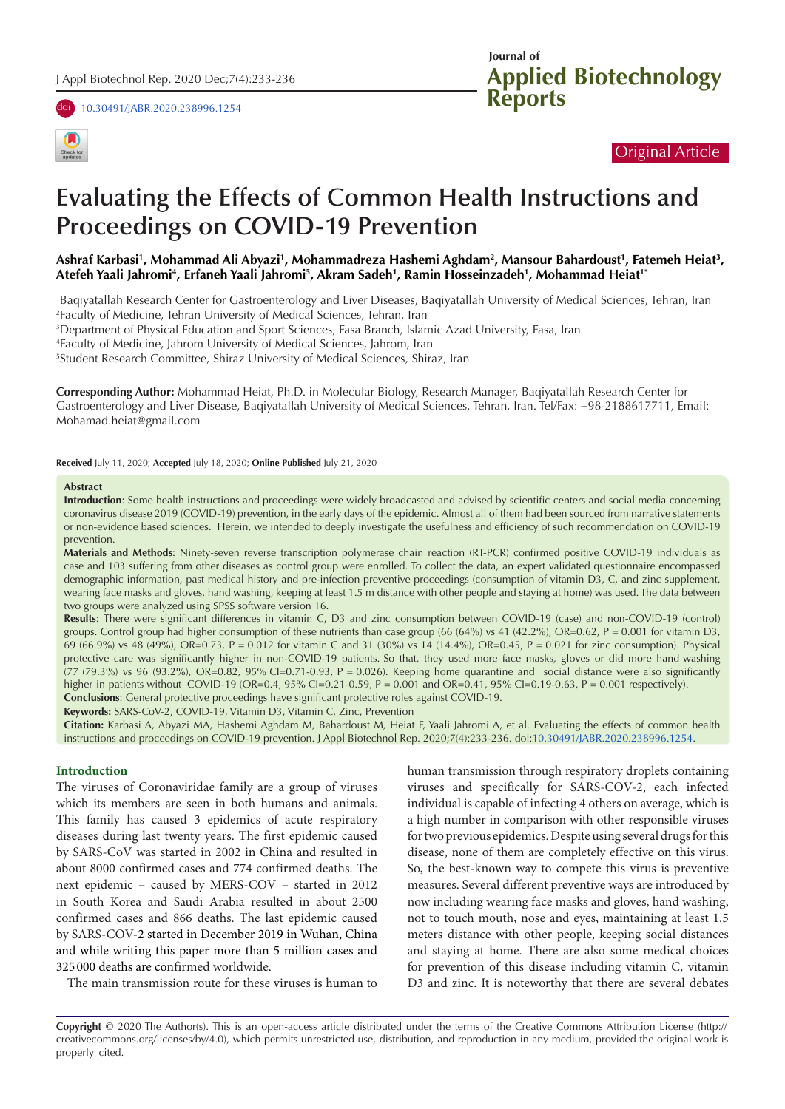





## Original Article

# **Evaluating the Effects of Common Health Instructions and Proceedings on COVID-19 Prevention**

## Ashraf Karbasi', Mohammad Ali Abyazi', Mohammadreza Hashemi Aghdam<sup>2</sup>, Mansour Bahardoust', Fatemeh Heiat<sup>3</sup>, **Atefeh Yaali Jahromi4 , Erfaneh Yaali Jahromi5 , Akram Sadeh1 , Ramin Hosseinzadeh1 , Mohammad Heiat1\***

1 Baqiyatallah Research Center for Gastroenterology and Liver Diseases, Baqiyatallah University of Medical Sciences, Tehran, Iran 2 Faculty of Medicine, Tehran University of Medical Sciences, Tehran, Iran

3 Department of Physical Education and Sport Sciences, Fasa Branch, Islamic Azad University, Fasa, Iran

4 Faculty of Medicine, Jahrom University of Medical Sciences, Jahrom, Iran

5 Student Research Committee, Shiraz University of Medical Sciences, Shiraz, Iran

**Corresponding Author:** Mohammad Heiat, Ph.D. in Molecular Biology, Research Manager, Baqiyatallah Research Center for Gastroenterology and Liver Disease, Baqiyatallah University of Medical Sciences, Tehran, Iran. Tel/Fax: +98-2188617711, Email: Mohamad.heiat@gmail.com

**Received** July 11, 2020; **Accepted** July 18, 2020; **Online Published** July 21, 2020

#### **Abstract**

**Introduction**: Some health instructions and proceedings were widely broadcasted and advised by scientific centers and social media concerning coronavirus disease 2019 (COVID-19) prevention, in the early days of the epidemic. Almost all of them had been sourced from narrative statements or non-evidence based sciences. Herein, we intended to deeply investigate the usefulness and efficiency of such recommendation on COVID-19 prevention.

**Materials and Methods**: Ninety-seven reverse transcription polymerase chain reaction (RT-PCR) confirmed positive COVID-19 individuals as case and 103 suffering from other diseases as control group were enrolled. To collect the data, an expert validated questionnaire encompassed demographic information, past medical history and pre-infection preventive proceedings (consumption of vitamin D3, C, and zinc supplement, wearing face masks and gloves, hand washing, keeping at least 1.5 m distance with other people and staying at home) was used. The data between two groups were analyzed using SPSS software version 16.

**Results**: There were significant differences in vitamin C, D3 and zinc consumption between COVID-19 (case) and non-COVID-19 (control) groups. Control group had higher consumption of these nutrients than case group (66 (64%) vs 41 (42.2%), OR=0.62, P = 0.001 for vitamin D3, 69 (66.9%) vs 48 (49%), OR=0.73, P = 0.012 for vitamin C and 31 (30%) vs 14 (14.4%), OR=0.45, P = 0.021 for zinc consumption). Physical protective care was significantly higher in non-COVID-19 patients. So that, they used more face masks, gloves or did more hand washing  $(77 (79.3%)$  vs 96  $(93.2%)$ , OR=0.82, 95% CI=0.71-0.93, P = 0.026). Keeping home quarantine and social distance were also significantly higher in patients without COVID-19 (OR=0.4, 95% CI=0.21-0.59, P = 0.001 and OR=0.41, 95% CI=0.19-0.63, P = 0.001 respectively). **Conclusions**: General protective proceedings have significant protective roles against COVID-19.

**Keywords:** SARS-CoV-2, COVID-19, Vitamin D3, Vitamin C, Zinc, Prevention

**Citation:** Karbasi A, Abyazi MA, Hashemi Aghdam M, Bahardoust M, Heiat F, Yaali Jahromi A, et al. [Evaluating the effects of common h](https://doi.org/10.30491/JABR.2020.238996.1254)ealth instructions and proceedings on COVID-19 prevention. J Appl Biotechnol Rep. 2020;7(4):233-236. doi:10.30491/JABR.2020.238996.1254.

## **Introduction**

The viruses of Coronaviridae family are a group of viruses which its members are seen in both humans and animals. This family has caused 3 epidemics of acute respiratory diseases during last twenty years. The first epidemic caused by SARS-CoV was started in 2002 in China and resulted in about 8000 confirmed cases and 774 confirmed deaths. The next epidemic – caused by MERS-COV – started in 2012 in South Korea and Saudi Arabia resulted in about 2500 confirmed cases and 866 deaths. The last epidemic caused by SARS-COV-2 started in December 2019 in Wuhan, China and while writing this paper more than 5 million cases and 325 000 deaths are confirmed worldwide.

The main transmission route for these viruses is human to

human transmission through respiratory droplets containing viruses and specifically for SARS-COV-2, each infected individual is capable of infecting 4 others on average, which is a high number in comparison with other responsible viruses for two previous epidemics. Despite using several drugs for this disease, none of them are completely effective on this virus. So, the best-known way to compete this virus is preventive measures. Several different preventive ways are introduced by now including wearing face masks and gloves, hand washing, not to touch mouth, nose and eyes, maintaining at least 1.5 meters distance with other people, keeping social distances and staying at home. There are also some medical choices for prevention of this disease including vitamin C, vitamin D3 and zinc. It is noteworthy that there are several debates

**Copyright** © 2020 The Author(s). This is an open-access article distributed under the terms of the Creative Commons Attribution License (http:// creativecommons.org/licenses/by/4.0), which permits unrestricted use, distribution, and reproduction in any medium, provided the original work is properly cited.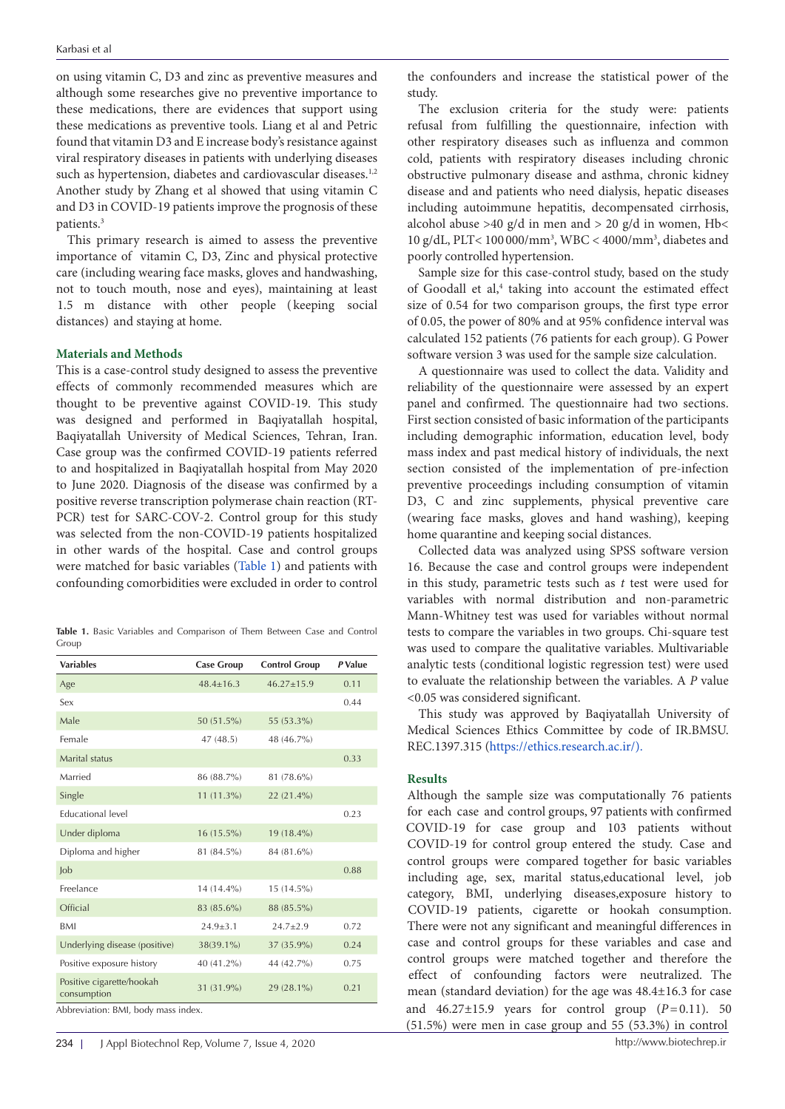on using vitamin C, D3 and zinc as preventive measures and although some researches give no preventive importance to these medications, there are evidences that support using these medications as preventive tools. Liang et al and Petric found that vitamin D3 and E increase body's resistance against viral respiratory diseases in patients with underlying diseases such as hypertension, diabetes and cardiovascular diseases.<sup>1,2</sup> Another study by Zhang et al showed that using vitamin C and D3 in COVID-19 patients improve the prognosis of these patients.<sup>3</sup>

This primary research is aimed to assess the preventive importance of vitamin C, D3, Zinc and physical protective care (including wearing face masks, gloves and handwashing, not to touch mouth, nose and eyes), maintaining at least 1.5 m distance with other people ( keeping social distances) and staying at home.

## **Materials and Methods**

This is a case-control study designed to assess the preventive effects of commonly recommended measures which are thought to be preventive against COVID-19. This study was designed and performed in Baqiyatallah hospital, Baqiyatallah University of Medical Sciences, Tehran, Iran. Case group was the confirmed COVID-19 patients referred to and hospitalized in Baqiyatallah hospital from May 2020 to June 2020. Diagnosis of the disease was confirmed by a positive reverse transcription polymerase chain reaction (RT-PCR) test for SARC-COV-2. Control group for this study was selected from the non-COVID-19 patients hospitalized in other wards of the hospital. Case and control groups were matched for basic variables ([Table 1\)](#page-1-0) and patients with confounding comorbidities were excluded in order to control

<span id="page-1-0"></span>**Table 1.** Basic Variables and Comparison of Them Between Case and Control Group

|                 |                   | P Value              |
|-----------------|-------------------|----------------------|
|                 |                   |                      |
| $48.4 \pm 16.3$ | $46.27 \pm 15.9$  | 0.11                 |
|                 |                   | 0.44                 |
| 50 (51.5%)      | 55 (53.3%)        |                      |
| 47(48.5)        | 48 (46.7%)        |                      |
|                 |                   | 0.33                 |
| 86 (88.7%)      | 81 (78.6%)        |                      |
| $11(11.3\%)$    | 22 (21.4%)        |                      |
|                 |                   | 0.23                 |
| $16(15.5\%)$    | $19(18.4\%)$      |                      |
| 81 (84.5%)      | 84 (81.6%)        |                      |
|                 |                   | 0.88                 |
| 14 (14.4%)      | 15 (14.5%)        |                      |
| 83 (85.6%)      | 88 (85.5%)        |                      |
| $24.9 \pm 3.1$  | $24.7 \pm 2.9$    | 0.72                 |
| 38(39.1%)       | 37 (35.9%)        | 0.24                 |
| 40 (41.2%)      | 44 (42.7%)        | 0.75                 |
| 31 (31.9%)      | 29 (28.1%)        | 0.21                 |
|                 | <b>Case Group</b> | <b>Control Group</b> |

the confounders and increase the statistical power of the study.

The exclusion criteria for the study were: patients refusal from fulfilling the questionnaire, infection with other respiratory diseases such as influenza and common cold, patients with respiratory diseases including chronic obstructive pulmonary disease and asthma, chronic kidney disease and and patients who need dialysis, hepatic diseases including autoimmune hepatitis, decompensated cirrhosis, alcohol abuse >40 g/d in men and > 20 g/d in women, Hb< 10 g/dL, PLT< 100 000/mm<sup>3</sup> , WBC < 4000/mm<sup>3</sup> , diabetes and poorly controlled hypertension.

Sample size for this case-control study, based on the study of Goodall et al,<sup>4</sup> taking into account the estimated effect size of 0.54 for two comparison groups, the first type error of 0.05, the power of 80% and at 95% confidence interval was calculated 152 patients (76 patients for each group). G Power software version 3 was used for the sample size calculation.

A questionnaire was used to collect the data. Validity and reliability of the questionnaire were assessed by an expert panel and confirmed. The questionnaire had two sections. First section consisted of basic information of the participants including demographic information, education level, body mass index and past medical history of individuals, the next section consisted of the implementation of pre-infection preventive proceedings including consumption of vitamin D3, C and zinc supplements, physical preventive care (wearing face masks, gloves and hand washing), keeping home quarantine and keeping social distances.

Collected data was analyzed using SPSS software version 16. Because the case and control groups were independent in this study, parametric tests such as *t* test were used for variables with normal distribution and non-parametric Mann-Whitney test was used for variables without normal tests to compare the variables in two groups. Chi-square test was used to compare the qualitative variables. Multivariable analytic tests (conditional logistic regression test) were used to evaluate the relationship between the variables. A *P* value <0.05 was considered significant.

This study was approved by Baqiyatallah University of Medical Sciences Ethics Committee by code of IR.BMSU. REC.1397.315 [\(https://ethics.research.ac.ir/\)](https://ethics.research.ac.ir/).

### **Results**

Although the sample size was computationally 76 patients for each case and control groups, 97 patients with confirmed COVID-19 for case group and 103 patients without COVID-19 for control group entered the study. Case and control groups were compared together for basic variables including age, sex, marital status,educational level, job category, BMI, underlying diseases,exposure history to COVID-19 patients, cigarette or hookah consumption. There were not any significant and meaningful differences in case and control groups for these variables and case and control groups were matched together and therefore the effect of confounding factors were neutralized. The mean (standard deviation) for the age was 48.4±16.3 for case and  $46.27\pm15.9$  years for control group  $(P=0.11)$ . 50 (51.5%) were men in case group and 55 (53.3%) in control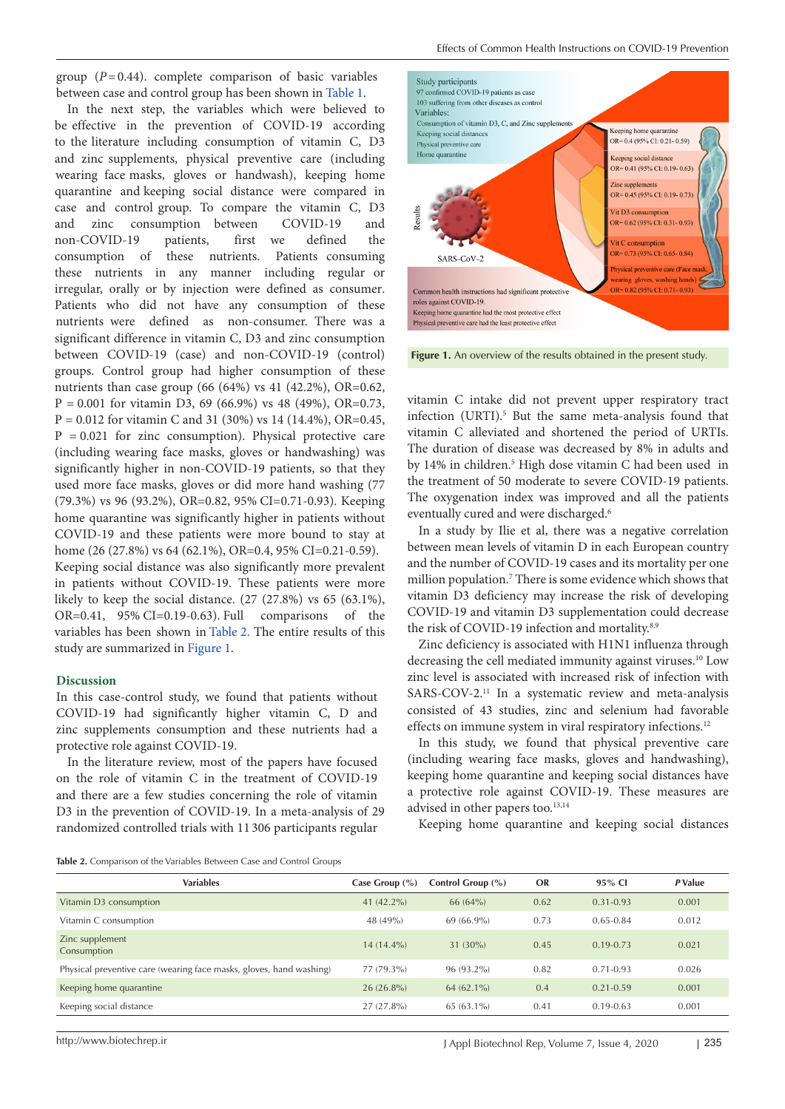group  $(P=0.44)$ . complete comparison of basic variables between case and control group has been sh[own in](#page-1-0) Table 1.

In the next step, the variables which were believed to be effective in the prevention of COVID-19 according to the literature including consumption of vitamin C, D3 and zinc supplements, physical preventive care (including wearing face masks, gloves or handwash), keeping home quarantine and keeping social distance were compared in case and control group. To compare the vitamin C, D3 and zinc consumption between COVID-19 and non-COVID-19 patients, first we defined the consumption of these nutrients. Patients consuming these nutrients in any manner including regular or irregular, orally or by injection were defined as consumer. Patients who did not have any consumption of these nutrients were defined as non-consumer. There was a significant difference in vitamin C, D3 and zinc consumption between COVID-19 (case) and non-COVID-19 (control) groups. Control group had higher consumption of these nutrients than case group (66 (64%) vs 41 (42.2%), OR=0.62,  $P = 0.001$  for vitamin D3, 69 (66.9%) vs 48 (49%), OR=0.73,  $P = 0.012$  for vitamin C and 31 (30%) vs 14 (14.4%), OR=0.45,  $P = 0.021$  for zinc consumption). Physical protective care (including wearing face masks, gloves or handwashing) was significantly higher in non-COVID-19 patients, so that they used more face masks, gloves or did more hand washing (77 (79.3%) vs 96 (93.2%), OR=0.82, 95% CI=0.71-0.93). Keeping home quarantine was significantly higher in patients without COVID-19 and these patients were more bound to stay at home (26 (27.8%) vs 64 (62.1%), OR=0.4, 95% CI=0.21-0.59). Keeping social distance was also significantly more prevalent in patients without COVID-19. These patients were more likely to keep the social distance.  $(27 (27.8%)$  vs  $65 (63.1%).$ OR=0.41, 95% CI=0.19-0.63). Full comparisons [of th](#page-2-0)e [va](#page-2-0)riables has been shown in Table 2. The entire res[ults of th](#page-2-1)is study are summarized in Figure 1.

## **Discussion**

In this case-control study, we found that patients without COVID-19 had significantly higher vitamin C, D and zinc supplements consumption and these nutrients had a protective role against COVID-19.

In the literature review, most of the papers have focused on the role of vitamin C in the treatment of COVID-19 and there are a few studies concerning the role of vitamin D3 in the prevention of COVID-19. In a meta-analysis of 29 randomized controlled trials with 11 306 participants regular

<span id="page-2-1"></span>

**Figure 1.** An overview of the results obtained in the present study.

vitamin C intake did not prevent upper respiratory tract infection (URTI).<sup>5</sup> But the same meta-analysis found that vitamin C alleviated and shortened the period of URTIs. The duration of disease was decreased by 8% in adults and by 14% in children.5 High dose vitamin C had been used in the treatment of 50 moderate to severe COVID-19 patients. The oxygenation index was improved and all the patients eventually cured and were discharged.<sup>6</sup>

In a study by Ilie et al, there was a negative correlation between mean levels of vitamin D in each European country and the number of COVID-19 cases and its mortality per one million population.7 There is some evidence which shows that vitamin D3 deficiency may increase the risk of developing COVID-19 and vitamin D3 supplementation could decrease the risk of COVID-19 infection and mortality.<sup>8,9</sup>

Zinc deficiency is associated with H1N1 influenza through decreasing the cell mediated immunity against viruses.<sup>10</sup> Low zinc level is associated with increased risk of infection with SARS-COV-2.11 In a systematic review and meta-analysis consisted of 43 studies, zinc and selenium had favorable effects on immune system in viral respiratory infections.<sup>12</sup>

In this study, we found that physical preventive care (including wearing face masks, gloves and handwashing), keeping home quarantine and keeping social distances have a protective role against COVID-19. These measures are advised in other papers too.<sup>13,14</sup>

Keeping home quarantine and keeping social distances

<span id="page-2-0"></span>**Table 2.** Comparison of the Variables Between Case and Control Groups

| <b>Variables</b>                                                    | Case Group $(\% )$ | Control Group (%) | OR   | 95% CI        | P Value |
|---------------------------------------------------------------------|--------------------|-------------------|------|---------------|---------|
| Vitamin D3 consumption                                              | 41 $(42.2\%)$      | $66(64\%)$        | 0.62 | $0.31 - 0.93$ | 0.001   |
| Vitamin C consumption                                               | 48 (49%)           | $69(66.9\%)$      | 0.73 | $0.65 - 0.84$ | 0.012   |
| Zinc supplement<br>Consumption                                      | $14(14.4\%)$       | $31(30\%)$        | 0.45 | $0.19 - 0.73$ | 0.021   |
| Physical preventive care (wearing face masks, gloves, hand washing) | 77 (79.3%)         | $96(93.2\%)$      | 0.82 | $0.71 - 0.93$ | 0.026   |
| Keeping home quarantine                                             | $26(26.8\%)$       | $64(62.1\%)$      | 0.4  | $0.21 - 0.59$ | 0.001   |
| Keeping social distance                                             | $27(27.8\%)$       | $65(63.1\%)$      | 0.41 | $0.19 - 0.63$ | 0.001   |